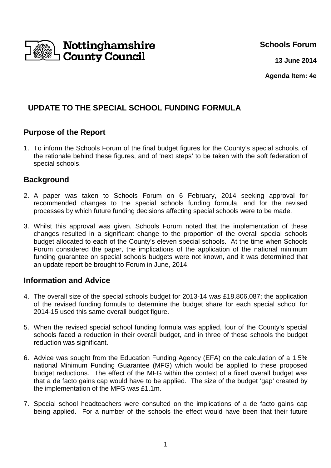

**Schools Forum**

**13 June 2014**

**Agenda Item: 4e**

# **UPDATE TO THE SPECIAL SCHOOL FUNDING FORMULA**

## **Purpose of the Report**

1. To inform the Schools Forum of the final budget figures for the County's special schools, of the rationale behind these figures, and of 'next steps' to be taken with the soft federation of special schools.

## **Background**

- 2. A paper was taken to Schools Forum on 6 February, 2014 seeking approval for recommended changes to the special schools funding formula, and for the revised processes by which future funding decisions affecting special schools were to be made.
- 3. Whilst this approval was given, Schools Forum noted that the implementation of these changes resulted in a significant change to the proportion of the overall special schools budget allocated to each of the County's eleven special schools. At the time when Schools Forum considered the paper, the implications of the application of the national minimum funding guarantee on special schools budgets were not known, and it was determined that an update report be brought to Forum in June, 2014.

#### **Information and Advice**

- 4. The overall size of the special schools budget for 2013-14 was £18,806,087; the application of the revised funding formula to determine the budget share for each special school for 2014-15 used this same overall budget figure.
- 5. When the revised special school funding formula was applied, four of the County's special schools faced a reduction in their overall budget, and in three of these schools the budget reduction was significant.
- 6. Advice was sought from the Education Funding Agency (EFA) on the calculation of a 1.5% national Minimum Funding Guarantee (MFG) which would be applied to these proposed budget reductions. The effect of the MFG within the context of a fixed overall budget was that a de facto gains cap would have to be applied. The size of the budget 'gap' created by the implementation of the MFG was £1.1m.
- 7. Special school headteachers were consulted on the implications of a de facto gains cap being applied. For a number of the schools the effect would have been that their future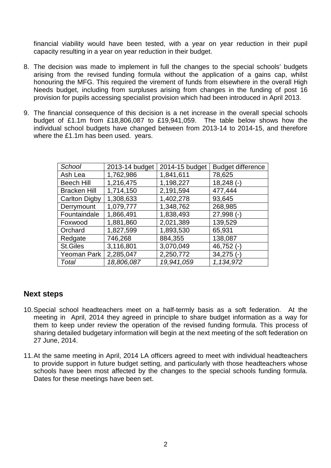financial viability would have been tested, with a year on year reduction in their pupil capacity resulting in a year on year reduction in their budget.

- 8. The decision was made to implement in full the changes to the special schools' budgets arising from the revised funding formula without the application of a gains cap, whilst honouring the MFG. This required the virement of funds from elsewhere in the overall High Needs budget, including from surpluses arising from changes in the funding of post 16 provision for pupils accessing specialist provision which had been introduced in April 2013.
- 9. The financial consequence of this decision is a net increase in the overall special schools budget of £1.1m from £18,806,087 to £19,941,059. The table below shows how the individual school budgets have changed between from 2013-14 to 2014-15, and therefore where the £1.1m has been used. years.

| School               | 2013-14 budget | 2014-15 budget | <b>Budget difference</b> |
|----------------------|----------------|----------------|--------------------------|
| Ash Lea              | 1,762,986      | 1,841,611      | 78,625                   |
| <b>Beech Hill</b>    | 1,216,475      | 1,198,227      | $18,248$ (-)             |
| <b>Bracken Hill</b>  | 1,714,150      | 2,191,594      | 477,444                  |
| <b>Carlton Digby</b> | 1,308,633      | 1,402,278      | 93,645                   |
| Derrymount           | 1,079,777      | 1,348,762      | 268,985                  |
| Fountaindale         | 1,866,491      | 1,838,493      | $27,998$ (-)             |
| Foxwood              | 1,881,860      | 2,021,389      | 139,529                  |
| Orchard              | 1,827,599      | 1,893,530      | 65,931                   |
| Redgate              | 746,268        | 884,355        | 138,087                  |
| <b>St.Giles</b>      | 3,116,801      | 3,070,049      | $46,752$ (-)             |
| Yeoman Park          | 2,285,047      | 2,250,772      | $34,275$ (-)             |
| Total                | 18,806,087     | 19,941,059     | 1,134,972                |

#### **Next steps**

- 10. Special school headteachers meet on a half-termly basis as a soft federation. At the meeting in April, 2014 they agreed in principle to share budget information as a way for them to keep under review the operation of the revised funding formula. This process of sharing detailed budgetary information will begin at the next meeting of the soft federation on 27 June, 2014.
- 11. At the same meeting in April, 2014 LA officers agreed to meet with individual headteachers to provide support in future budget setting, and particularly with those headteachers whose schools have been most affected by the changes to the special schools funding formula. Dates for these meetings have been set.